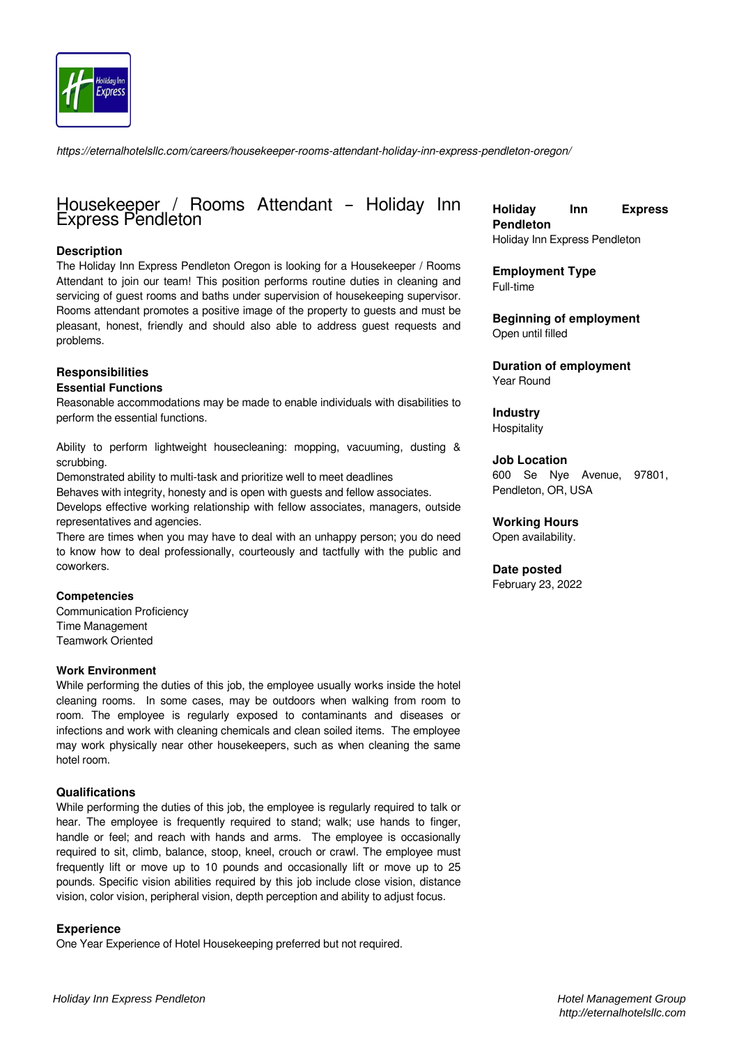

*https://eternalhotelsllc.com/careers/housekeeper-rooms-attendant-holiday-inn-express-pendleton-oregon/*

## Housekeeper / Rooms Attendant – Holiday Inn Express Pendleton

#### **Description**

The Holiday Inn Express Pendleton Oregon is looking for a Housekeeper / Rooms Attendant to join our team! This position performs routine duties in cleaning and servicing of guest rooms and baths under supervision of housekeeping supervisor. Rooms attendant promotes a positive image of the property to guests and must be pleasant, honest, friendly and should also able to address guest requests and problems.

# **Responsibilities**

#### **Essential Functions**

Reasonable accommodations may be made to enable individuals with disabilities to perform the essential functions.

Ability to perform lightweight housecleaning: mopping, vacuuming, dusting & scrubbing.

Demonstrated ability to multi-task and prioritize well to meet deadlines

Behaves with integrity, honesty and is open with guests and fellow associates.

Develops effective working relationship with fellow associates, managers, outside representatives and agencies.

There are times when you may have to deal with an unhappy person; you do need to know how to deal professionally, courteously and tactfully with the public and coworkers.

#### **Competencies**

Communication Proficiency Time Management Teamwork Oriented

#### **Work Environment**

While performing the duties of this job, the employee usually works inside the hotel cleaning rooms. In some cases, may be outdoors when walking from room to room. The employee is regularly exposed to contaminants and diseases or infections and work with cleaning chemicals and clean soiled items. The employee may work physically near other housekeepers, such as when cleaning the same hotel room.

#### **Qualifications**

While performing the duties of this job, the employee is regularly required to talk or hear. The employee is frequently required to stand; walk; use hands to finger, handle or feel; and reach with hands and arms. The employee is occasionally required to sit, climb, balance, stoop, kneel, crouch or crawl. The employee must frequently lift or move up to 10 pounds and occasionally lift or move up to 25 pounds. Specific vision abilities required by this job include close vision, distance vision, color vision, peripheral vision, depth perception and ability to adjust focus.

#### **Experience**

One Year Experience of Hotel Housekeeping preferred but not required.

**Holiday Inn Express Pendleton** Holiday Inn Express Pendleton

**Employment Type** Full-time

**Beginning of employment** Open until filled

**Duration of employment** Year Round

**Industry Hospitality** 

**Job Location**

600 Se Nye Avenue, 97801, Pendleton, OR, USA

## **Working Hours**

Open availability.

#### **Date posted**

February 23, 2022